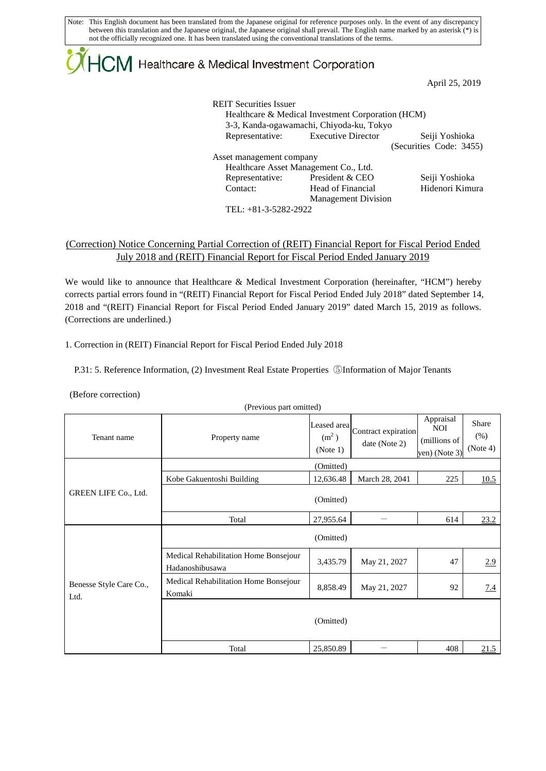Note: This English document has been translated from the Japanese original for reference purposes only. In the event of any discrepancy between this translation and the Japanese original, the Japanese original shall prevail. The English name marked by an asterisk (\*) is not the officially recognized one. It has been translated using the conventional translations of the terms.

# $\mathsf{ICM}\xspace$  Healthcare & Medical Investment Corporation

April 25, 2019

| <b>REIT Securities Issuer</b> | Healthcare & Medical Investment Corporation (HCM)<br>3-3, Kanda-ogawamachi, Chiyoda-ku, Tokyo |                         |
|-------------------------------|-----------------------------------------------------------------------------------------------|-------------------------|
|                               | Representative: Executive Director                                                            | Seiji Yoshioka          |
|                               |                                                                                               | (Securities Code: 3455) |
| Asset management company      |                                                                                               |                         |
|                               | Healthcare Asset Management Co., Ltd.                                                         |                         |
| Representative:               | President & CEO                                                                               | Seiji Yoshioka          |
| Contact:                      | Head of Financial                                                                             | Hidenori Kimura         |
|                               | <b>Management Division</b>                                                                    |                         |
| TEL: +81-3-5282-2922          |                                                                                               |                         |

#### (Correction) Notice Concerning Partial Correction of (REIT) Financial Report for Fiscal Period Ended July 2018 and (REIT) Financial Report for Fiscal Period Ended January 2019

We would like to announce that Healthcare & Medical Investment Corporation (hereinafter, "HCM") hereby corrects partial errors found in "(REIT) Financial Report for Fiscal Period Ended July 2018" dated September 14, 2018 and "(REIT) Financial Report for Fiscal Period Ended January 2019" dated March 15, 2019 as follows. (Corrections are underlined.)

1. Correction in (REIT) Financial Report for Fiscal Period Ended July 2018

P.31: 5. Reference Information, (2) Investment Real Estate Properties ⑤Information of Major Tenants

(Before correction)

| Tenant name                     | $(1.18, 10.06)$ part of $(1.00)$<br>Property name        | (m <sup>2</sup> )<br>(Note 1) | [Leased area]<br>Contract expiration]<br>date (Note 2) | Appraisal<br><b>NOI</b><br>(millions of<br>yen) (Note 3) | Share<br>(% )<br>(Note 4) |  |
|---------------------------------|----------------------------------------------------------|-------------------------------|--------------------------------------------------------|----------------------------------------------------------|---------------------------|--|
|                                 |                                                          | (Omitted)                     |                                                        |                                                          |                           |  |
|                                 | Kobe Gakuentoshi Building                                | 12,636.48                     | March 28, 2041                                         | 225                                                      | 10.5                      |  |
| GREEN LIFE Co., Ltd.            | (Omitted)                                                |                               |                                                        |                                                          |                           |  |
|                                 | Total                                                    | 27,955.64                     |                                                        | 614                                                      | 23.2                      |  |
| Benesse Style Care Co.,<br>Ltd. | (Omitted)                                                |                               |                                                        |                                                          |                           |  |
|                                 | Medical Rehabilitation Home Bonsejour<br>Hadanoshibusawa | 3,435.79                      | May 21, 2027                                           | 47                                                       | 2.9                       |  |
|                                 | Medical Rehabilitation Home Bonsejour<br>Komaki          | 8,858.49                      | May 21, 2027                                           | 92                                                       | 7.4                       |  |
|                                 |                                                          | (Omitted)                     |                                                        |                                                          |                           |  |
|                                 | Total                                                    | 25,850.89                     |                                                        | 408                                                      | 21.5                      |  |

(Previous part omitted)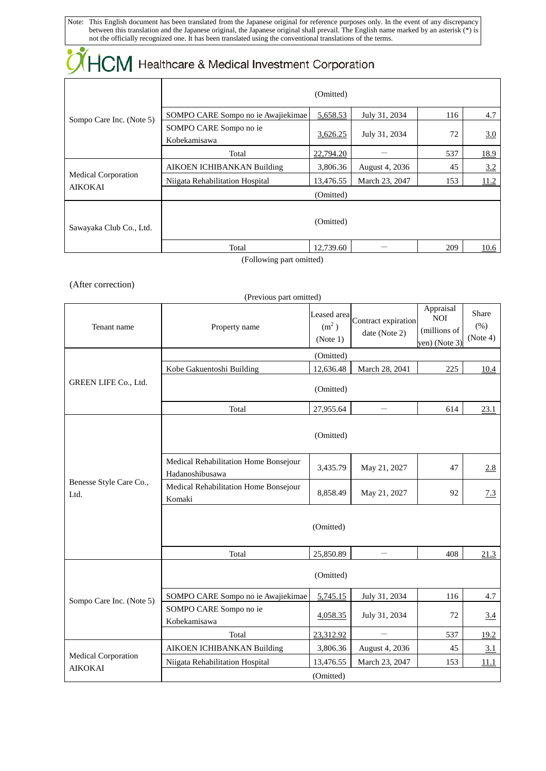Note: This English document has been translated from the Japanese original for reference purposes only. In the event of any discrepancy between this translation and the Japanese original, the Japanese original shall prevail. The English name marked by an asterisk (\*) is not the officially recognized one. It has been translated using the conventional translations of the terms.

| $\chi$ $HCM$ Healthcare & Medical Investment Corporation |                                        |           |                |     |             |  |
|----------------------------------------------------------|----------------------------------------|-----------|----------------|-----|-------------|--|
|                                                          | (Omitted)                              |           |                |     |             |  |
|                                                          | SOMPO CARE Sompo no ie Awajiekimae     | 5,658.53  | July 31, 2034  | 116 | 4.7         |  |
| Sompo Care Inc. (Note 5)                                 | SOMPO CARE Sompo no ie<br>Kobekamisawa | 3,626.25  | July 31, 2034  | 72  | 3.0         |  |
|                                                          | Total                                  | 22,794.20 |                | 537 | <u>18.9</u> |  |
|                                                          | AIKOEN ICHIBANKAN Building             | 3,806.36  | August 4, 2036 | 45  | 3.2         |  |
| <b>Medical Corporation</b><br><b>AIKOKAI</b>             | Niigata Rehabilitation Hospital        | 13,476.55 | March 23, 2047 | 153 | 11.2        |  |
|                                                          | (Omitted)                              |           |                |     |             |  |
| Sawayaka Club Co., Ltd.                                  |                                        | (Omitted) |                |     |             |  |
|                                                          | Total                                  | 12,739.60 |                | 209 | 10.6        |  |
| (Following part omitted)                                 |                                        |           |                |     |             |  |

(Following part omitted)

#### (After correction)

| (Previous part omitted)                      |                                                          |                                              |                                      |                                                          |                           |  |  |
|----------------------------------------------|----------------------------------------------------------|----------------------------------------------|--------------------------------------|----------------------------------------------------------|---------------------------|--|--|
| Tenant name                                  | Property name                                            | Leased area<br>(m <sup>2</sup> )<br>(Note 1) | Contract expiration<br>date (Note 2) | Appraisal<br><b>NOI</b><br>(millions of<br>yen) (Note 3) | Share<br>(% )<br>(Note 4) |  |  |
|                                              |                                                          | (Omitted)                                    |                                      |                                                          |                           |  |  |
|                                              | Kobe Gakuentoshi Building                                | 12,636.48                                    | March 28, 2041                       | 225                                                      | 10.4                      |  |  |
| GREEN LIFE Co., Ltd.                         |                                                          | (Omitted)                                    |                                      |                                                          |                           |  |  |
|                                              | Total                                                    | 27,955.64                                    |                                      | 614                                                      | 23.1                      |  |  |
| Benesse Style Care Co.,<br>Ltd.              |                                                          | (Omitted)                                    |                                      |                                                          |                           |  |  |
|                                              | Medical Rehabilitation Home Bonsejour<br>Hadanoshibusawa | 3,435.79                                     | May 21, 2027                         | 47                                                       | 2.8                       |  |  |
|                                              | Medical Rehabilitation Home Bonsejour<br>Komaki          | 8,858.49                                     | May 21, 2027                         | 92                                                       | 7.3                       |  |  |
|                                              | (Omitted)                                                |                                              |                                      |                                                          |                           |  |  |
|                                              | Total                                                    | 25,850.89                                    |                                      | 408                                                      | 21.3                      |  |  |
| Sompo Care Inc. (Note 5)                     |                                                          | (Omitted)                                    |                                      |                                                          |                           |  |  |
|                                              | SOMPO CARE Sompo no ie Awajiekimae                       | 5,745.15                                     | July 31, 2034                        | 116                                                      | 4.7                       |  |  |
|                                              | SOMPO CARE Sompo no ie<br>Kobekamisawa                   | 4,058.35                                     | July 31, 2034                        | 72                                                       | 3.4                       |  |  |
|                                              | Total                                                    | 23,312.92                                    | $\overline{\phantom{0}}$             | 537                                                      | 19.2                      |  |  |
|                                              | AIKOEN ICHIBANKAN Building                               | 3,806.36                                     | August 4, 2036                       | 45                                                       | 3.1                       |  |  |
| <b>Medical Corporation</b><br><b>AIKOKAI</b> | Niigata Rehabilitation Hospital                          | 13,476.55                                    | March 23, 2047                       | 153                                                      | 11.1                      |  |  |
|                                              | (Omitted)                                                |                                              |                                      |                                                          |                           |  |  |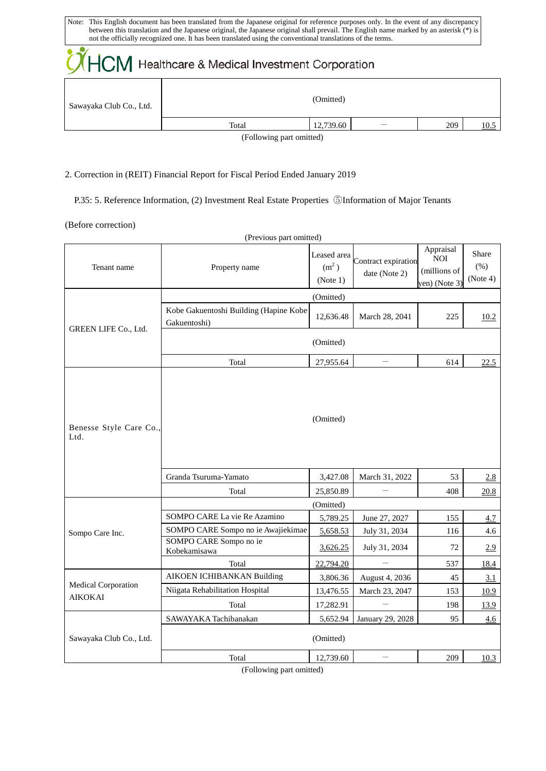| Note: This English document has been translated from the Japanese original for reference purposes only. In the event of any discrepancy<br>between this translation and the Japanese original, the Japanese original shall prevail. The English name marked by an asterisk (*) is<br>not the officially recognized one. It has been translated using the conventional translations of the terms. |       |           |  |     |      |  |
|--------------------------------------------------------------------------------------------------------------------------------------------------------------------------------------------------------------------------------------------------------------------------------------------------------------------------------------------------------------------------------------------------|-------|-----------|--|-----|------|--|
| <b>OHCM</b> Healthcare & Medical Investment Corporation                                                                                                                                                                                                                                                                                                                                          |       |           |  |     |      |  |
| Sawayaka Club Co., Ltd.                                                                                                                                                                                                                                                                                                                                                                          |       | (Omitted) |  |     |      |  |
|                                                                                                                                                                                                                                                                                                                                                                                                  | Total | 12,739.60 |  | 209 | 10.5 |  |

(Following part omitted)

#### 2. Correction in (REIT) Financial Report for Fiscal Period Ended January 2019

P.35: 5. Reference Information, (2) Investment Real Estate Properties ⑤Information of Major Tenants

(Before correction)

| (Previous part omitted)         |                                                        |                                              |                                      |                                                          |                             |  |  |
|---------------------------------|--------------------------------------------------------|----------------------------------------------|--------------------------------------|----------------------------------------------------------|-----------------------------|--|--|
| Tenant name                     | Property name                                          | Leased area<br>(m <sup>2</sup> )<br>(Note 1) | Contract expiration<br>date (Note 2) | Appraisal<br><b>NOI</b><br>(millions of<br>yen) (Note 3) | Share<br>$(\%)$<br>(Note 4) |  |  |
|                                 | (Omitted)                                              |                                              |                                      |                                                          |                             |  |  |
| GREEN LIFE Co., Ltd.            | Kobe Gakuentoshi Building (Hapine Kobe<br>Gakuentoshi) | 12,636.48                                    | March 28, 2041                       | 225                                                      | 10.2                        |  |  |
|                                 | (Omitted)                                              |                                              |                                      |                                                          |                             |  |  |
|                                 | Total                                                  | 27,955.64                                    | $\overline{\phantom{m}}$             | 614                                                      | 22.5                        |  |  |
| Benesse Style Care Co.,<br>Ltd. |                                                        | (Omitted)                                    |                                      |                                                          |                             |  |  |
|                                 | Granda Tsuruma-Yamato                                  | 3,427.08                                     | March 31, 2022                       | 53                                                       | 2.8                         |  |  |
|                                 | Total                                                  | 25,850.89                                    |                                      | 408                                                      | 20.8                        |  |  |
|                                 | (Omitted)                                              |                                              |                                      |                                                          |                             |  |  |
|                                 | SOMPO CARE La vie Re Azamino                           | 5,789.25                                     | June 27, 2027                        | 155                                                      | 4.7                         |  |  |
| Sompo Care Inc.                 | SOMPO CARE Sompo no ie Awajiekimae                     | 5,658.53                                     | July 31, 2034                        | 116                                                      | 4.6                         |  |  |
|                                 | SOMPO CARE Sompo no ie<br>Kobekamisawa                 | 3,626.25                                     | July 31, 2034                        | 72                                                       | 2.9                         |  |  |
|                                 | Total                                                  | 22,794.20                                    |                                      | 537                                                      | 18.4                        |  |  |
| Medical Corporation<br>AIKOKAI  | <b>AIKOEN ICHIBANKAN Building</b>                      | 3,806.36                                     | August 4, 2036                       | 45                                                       | 3.1                         |  |  |
|                                 | Niigata Rehabilitation Hospital                        | 13,476.55                                    | March 23, 2047                       | 153                                                      | 10.9                        |  |  |
|                                 | Total                                                  | 17,282.91                                    |                                      | 198                                                      | 13.9                        |  |  |
| Sawayaka Club Co., Ltd.         | SAWAYAKA Tachibanakan                                  | 5,652.94                                     | January 29, 2028                     | 95                                                       | 4.6                         |  |  |
|                                 | (Omitted)                                              |                                              |                                      |                                                          |                             |  |  |
|                                 | Total                                                  | 12,739.60                                    |                                      | 209                                                      | 10.3                        |  |  |

(Following part omitted)